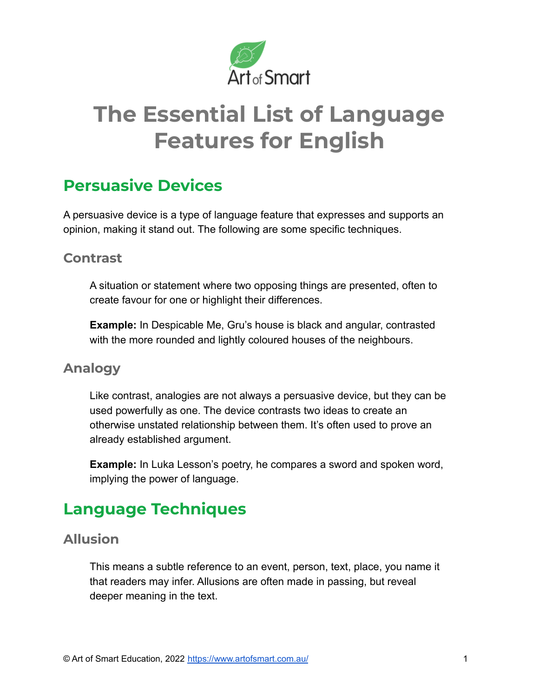

# **The Essential List of Language Features for English**

## **Persuasive Devices**

A persuasive device is a type of language feature that expresses and supports an opinion, making it stand out. The following are some specific techniques.

## **Contrast**

A situation or statement where two opposing things are presented, often to create favour for one or highlight their differences.

**Example:** In Despicable Me, Gru's house is black and angular, contrasted with the more rounded and lightly coloured houses of the neighbours.

## **Analogy**

Like contrast, analogies are not always a persuasive device, but they can be used powerfully as one. The device contrasts two ideas to create an otherwise unstated relationship between them. It's often used to prove an already established argument.

**Example:** In Luka Lesson's poetry, he compares a sword and spoken word, implying the power of language.

## **Language Techniques**

## **Allusion**

This means a subtle reference to an event, person, text, place, you name it that readers may infer. Allusions are often made in passing, but reveal deeper meaning in the text.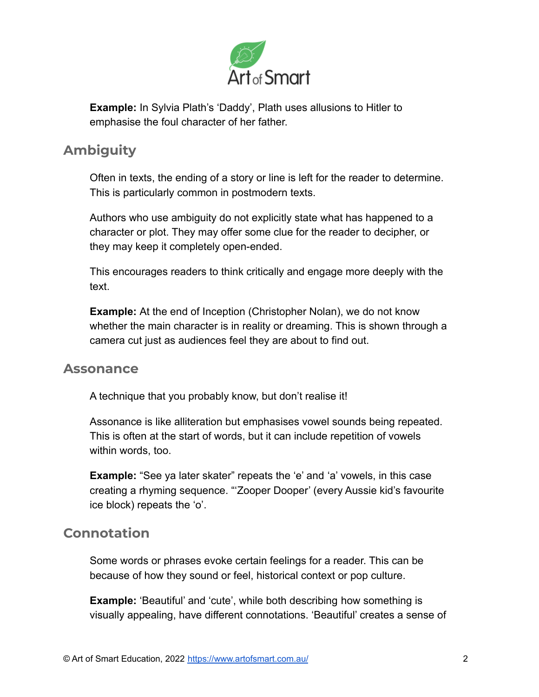

**Example:** In Sylvia Plath's 'Daddy', Plath uses allusions to Hitler to emphasise the foul character of her father.

## **Ambiguity**

Often in texts, the ending of a story or line is left for the reader to determine. This is particularly common in postmodern texts.

Authors who use ambiguity do not explicitly state what has happened to a character or plot. They may offer some clue for the reader to decipher, or they may keep it completely open-ended.

This encourages readers to think critically and engage more deeply with the text.

**Example:** At the end of Inception (Christopher Nolan), we do not know whether the main character is in reality or dreaming. This is shown through a camera cut just as audiences feel they are about to find out.

#### **Assonance**

A technique that you probably know, but don't realise it!

Assonance is like alliteration but emphasises vowel sounds being repeated. This is often at the start of words, but it can include repetition of vowels within words, too.

**Example:** "See ya later skater" repeats the 'e' and 'a' vowels, in this case creating a rhyming sequence. "'Zooper Dooper' (every Aussie kid's favourite ice block) repeats the 'o'.

## **Connotation**

Some words or phrases evoke certain feelings for a reader. This can be because of how they sound or feel, historical context or pop culture.

**Example:** 'Beautiful' and 'cute', while both describing how something is visually appealing, have different connotations. 'Beautiful' creates a sense of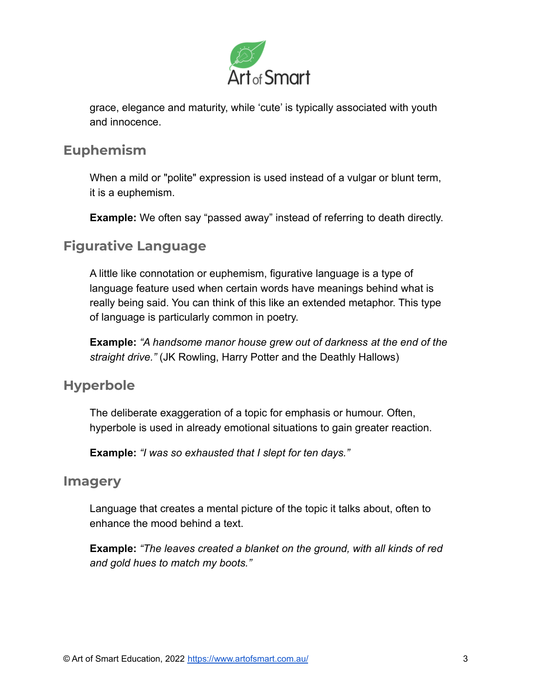

grace, elegance and maturity, while 'cute' is typically associated with youth and innocence.

#### **Euphemism**

When a mild or "polite" expression is used instead of a vulgar or blunt term, it is a euphemism.

**Example:** We often say "passed away" instead of referring to death directly.

## **Figurative Language**

A little like connotation or euphemism, figurative language is a type of language feature used when certain words have meanings behind what is really being said. You can think of this like an extended metaphor. This type of language is particularly common in poetry.

**Example:** *"A handsome manor house grew out of darkness at the end of the straight drive."* (JK Rowling, Harry Potter and the Deathly Hallows)

## **Hyperbole**

The deliberate exaggeration of a topic for emphasis or humour. Often, hyperbole is used in already emotional situations to gain greater reaction.

**Example:** *"I was so exhausted that I slept for ten days."*

#### **Imagery**

Language that creates a mental picture of the topic it talks about, often to enhance the mood behind a text.

**Example:** *"The leaves created a blanket on the ground, with all kinds of red and gold hues to match my boots."*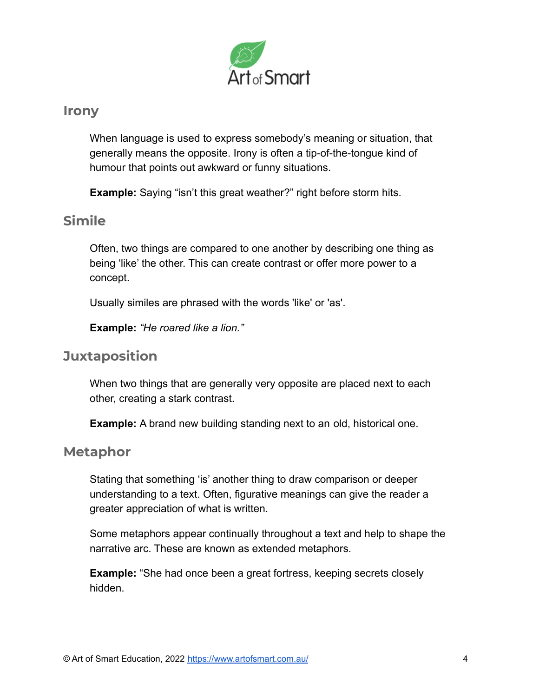

#### **Irony**

When language is used to express somebody's meaning or situation, that generally means the opposite. Irony is often a tip-of-the-tongue kind of humour that points out awkward or funny situations.

**Example:** Saying "isn't this great weather?" right before storm hits.

## **Simile**

Often, two things are compared to one another by describing one thing as being 'like' the other. This can create contrast or offer more power to a concept.

Usually similes are phrased with the words 'like' or 'as'.

**Example:** *"He roared like a lion."*

## **Juxtaposition**

When two things that are generally very opposite are placed next to each other, creating a stark contrast.

**Example:** A brand new building standing next to an old, historical one.

#### **Metaphor**

Stating that something 'is' another thing to draw comparison or deeper understanding to a text. Often, figurative meanings can give the reader a greater appreciation of what is written.

Some metaphors appear continually throughout a text and help to shape the narrative arc. These are known as extended metaphors.

**Example:** "She had once been a great fortress, keeping secrets closely hidden.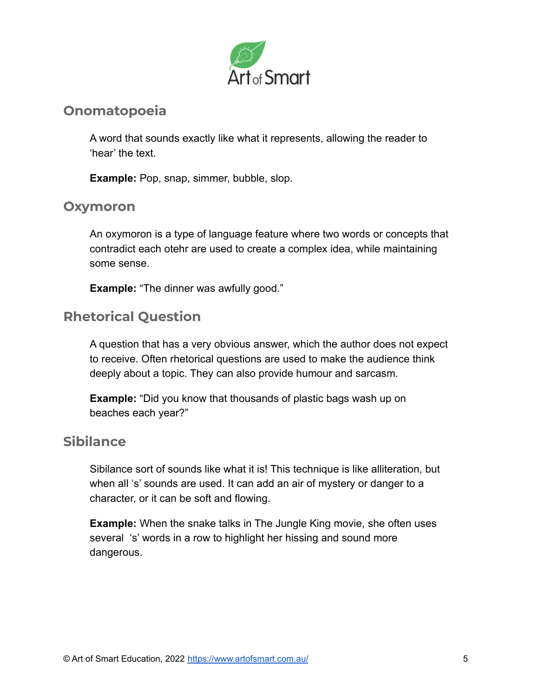

## **Onomatopoeia**

A word that sounds exactly like what it represents, allowing the reader to 'hear' the text.

**Example:** Pop, snap, simmer, bubble, slop.

#### **Oxymoron**

An oxymoron is a type of language feature where two words or concepts that contradict each otehr are used to create a complex idea, while maintaining some sense.

**Example:** "The dinner was awfully good."

## **Rhetorical Question**

A question that has a very obvious answer, which the author does not expect to receive. Often rhetorical questions are used to make the audience think deeply about a topic. They can also provide humour and sarcasm.

**Example:** "Did you know that thousands of plastic bags wash up on beaches each year?"

## **Sibilance**

Sibilance sort of sounds like what it is! This technique is like alliteration, but when all 's' sounds are used. It can add an air of mystery or danger to a character, or it can be soft and flowing.

**Example:** When the snake talks in The Jungle King movie, she often uses several 's' words in a row to highlight her hissing and sound more dangerous.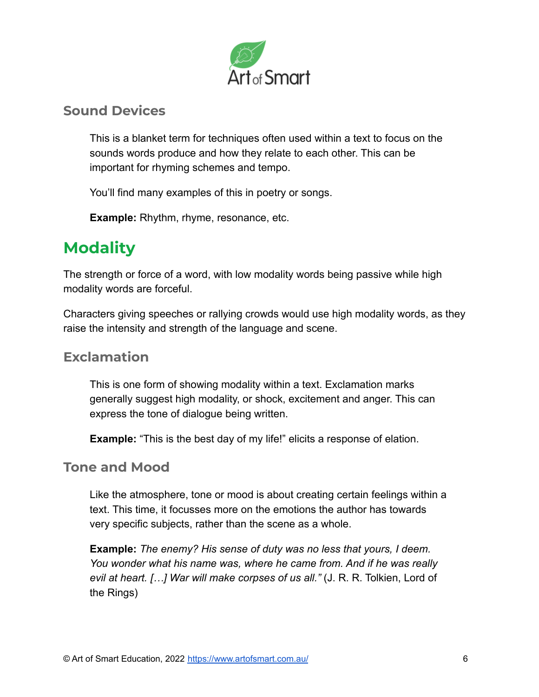

## **Sound Devices**

This is a blanket term for techniques often used within a text to focus on the sounds words produce and how they relate to each other. This can be important for rhyming schemes and tempo.

You'll find many examples of this in poetry or songs.

**Example:** Rhythm, rhyme, resonance, etc.

## **Modality**

The strength or force of a word, with low modality words being passive while high modality words are forceful.

Characters giving speeches or rallying crowds would use high modality words, as they raise the intensity and strength of the language and scene.

## **Exclamation**

This is one form of showing modality within a text. Exclamation marks generally suggest high modality, or shock, excitement and anger. This can express the tone of dialogue being written.

**Example:** "This is the best day of my life!" elicits a response of elation.

#### **Tone and Mood**

Like the atmosphere, tone or mood is about creating certain feelings within a text. This time, it focusses more on the emotions the author has towards very specific subjects, rather than the scene as a whole.

**Example:** *The enemy? His sense of duty was no less that yours, I deem. You wonder what his name was, where he came from. And if he was really evil at heart. […] War will make corpses of us all."* (J. R. R. Tolkien, Lord of the Rings)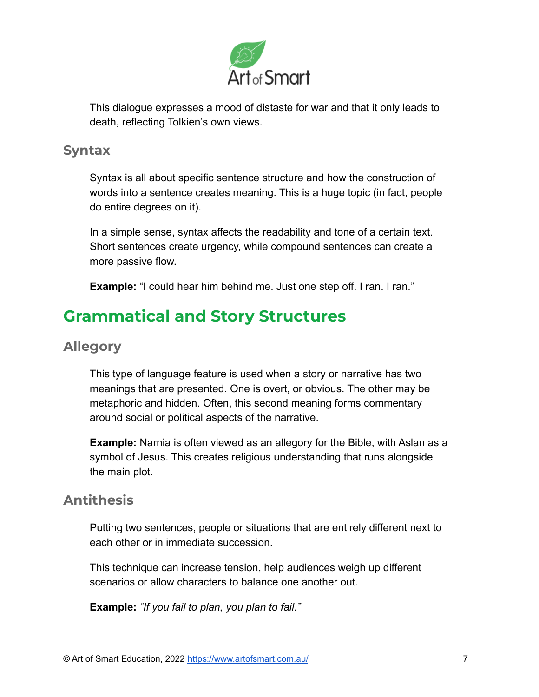

This dialogue expresses a mood of distaste for war and that it only leads to death, reflecting Tolkien's own views.

#### **Syntax**

Syntax is all about specific sentence structure and how the construction of words into a sentence creates meaning. This is a huge topic (in fact, people do entire degrees on it).

In a simple sense, syntax affects the readability and tone of a certain text. Short sentences create urgency, while compound sentences can create a more passive flow.

**Example:** "I could hear him behind me. Just one step off. I ran. I ran."

## **Grammatical and Story Structures**

## **Allegory**

This type of language feature is used when a story or narrative has two meanings that are presented. One is overt, or obvious. The other may be metaphoric and hidden. Often, this second meaning forms commentary around social or political aspects of the narrative.

**Example:** Narnia is often viewed as an allegory for the Bible, with Aslan as a symbol of Jesus. This creates religious understanding that runs alongside the main plot.

## **Antithesis**

Putting two sentences, people or situations that are entirely different next to each other or in immediate succession.

This technique can increase tension, help audiences weigh up different scenarios or allow characters to balance one another out.

**Example:** *"If you fail to plan, you plan to fail."*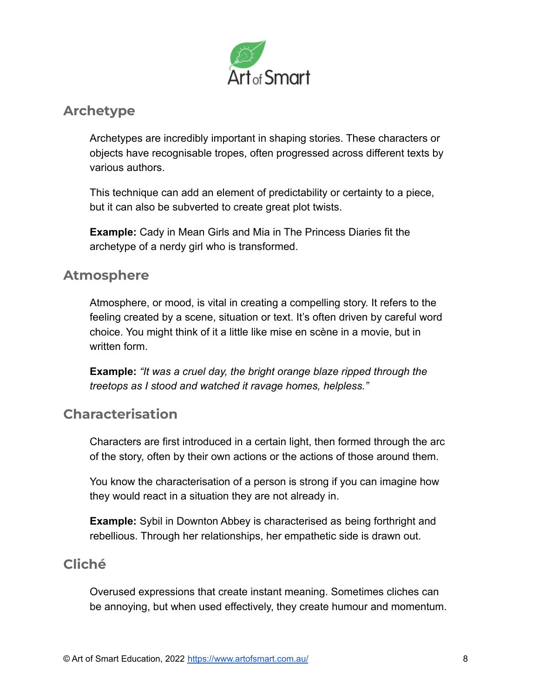

## **Archetype**

Archetypes are incredibly important in shaping stories. These characters or objects have recognisable tropes, often progressed across different texts by various authors.

This technique can add an element of predictability or certainty to a piece, but it can also be subverted to create great plot twists.

**Example:** Cady in Mean Girls and Mia in The Princess Diaries fit the archetype of a nerdy girl who is transformed.

## **Atmosphere**

Atmosphere, or mood, is vital in creating a compelling story. It refers to the feeling created by a scene, situation or text. It's often driven by careful word choice. You might think of it a little like mise en scène in a movie, but in written form.

**Example:** *"It was a cruel day, the bright orange blaze ripped through the treetops as I stood and watched it ravage homes, helpless."*

## **Characterisation**

Characters are first introduced in a certain light, then formed through the arc of the story, often by their own actions or the actions of those around them.

You know the characterisation of a person is strong if you can imagine how they would react in a situation they are not already in.

**Example:** Sybil in Downton Abbey is characterised as being forthright and rebellious. Through her relationships, her empathetic side is drawn out.

## **Cliché**

Overused expressions that create instant meaning. Sometimes cliches can be annoying, but when used effectively, they create humour and momentum.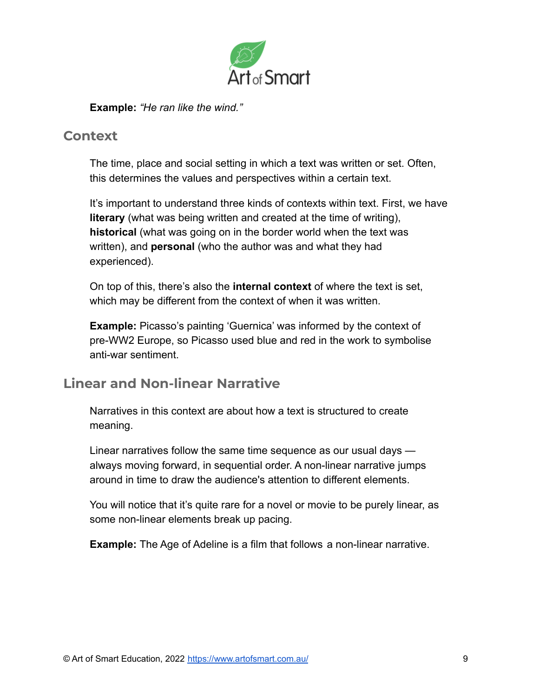

**Example:** *"He ran like the wind."*

#### **Context**

The time, place and social setting in which a text was written or set. Often, this determines the values and perspectives within a certain text.

It's important to understand three kinds of contexts within text. First, we have **literary** (what was being written and created at the time of writing), **historical** (what was going on in the border world when the text was written), and **personal** (who the author was and what they had experienced).

On top of this, there's also the **internal context** of where the text is set, which may be different from the context of when it was written.

**Example:** Picasso's painting 'Guernica' was informed by the context of pre-WW2 Europe, so Picasso used blue and red in the work to symbolise anti-war sentiment.

## **Linear and Non-linear Narrative**

Narratives in this context are about how a text is structured to create meaning.

Linear narratives follow the same time sequence as our usual days always moving forward, in sequential order. A non-linear narrative jumps around in time to draw the audience's attention to different elements.

You will notice that it's quite rare for a novel or movie to be purely linear, as some non-linear elements break up pacing.

**Example:** The Age of Adeline is a film that follows a non-linear narrative.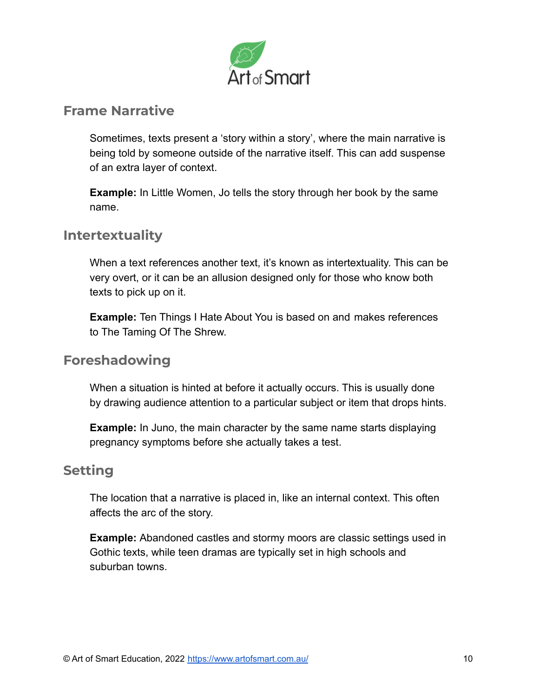

### **Frame Narrative**

Sometimes, texts present a 'story within a story', where the main narrative is being told by someone outside of the narrative itself. This can add suspense of an extra layer of context.

**Example:** In Little Women, Jo tells the story through her book by the same name.

## **Intertextuality**

When a text references another text, it's known as intertextuality. This can be very overt, or it can be an allusion designed only for those who know both texts to pick up on it.

**Example:** Ten Things I Hate About You is based on and makes references to The Taming Of The Shrew.

#### **Foreshadowing**

When a situation is hinted at before it actually occurs. This is usually done by drawing audience attention to a particular subject or item that drops hints.

**Example:** In Juno, the main character by the same name starts displaying pregnancy symptoms before she actually takes a test.

#### **Setting**

The location that a narrative is placed in, like an internal context. This often affects the arc of the story.

**Example:** Abandoned castles and stormy moors are classic settings used in Gothic texts, while teen dramas are typically set in high schools and suburban towns.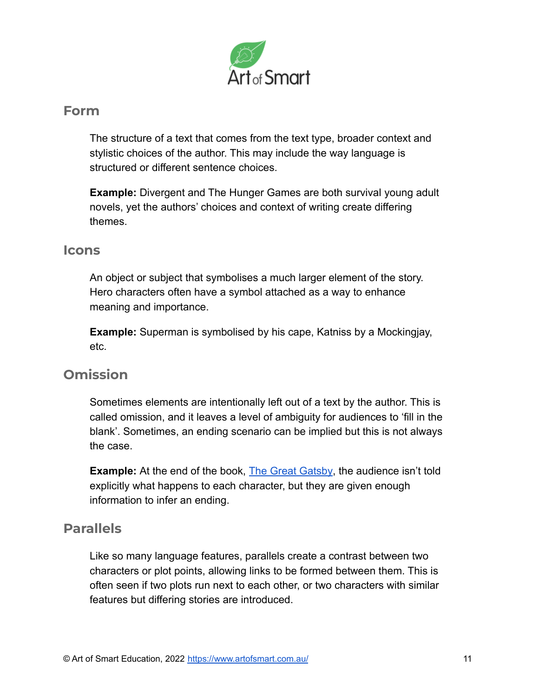

#### **Form**

The structure of a text that comes from the text type, broader context and stylistic choices of the author. This may include the way language is structured or different sentence choices.

**Example:** Divergent and The Hunger Games are both survival young adult novels, yet the authors' choices and context of writing create differing themes.

#### **Icons**

An object or subject that symbolises a much larger element of the story. Hero characters often have a symbol attached as a way to enhance meaning and importance.

**Example:** Superman is symbolised by his cape, Katniss by a Mockingjay, etc.

## **Omission**

Sometimes elements are intentionally left out of a text by the author. This is called omission, and it leaves a level of ambiguity for audiences to 'fill in the blank'. Sometimes, an ending scenario can be implied but this is not always the case.

**Example:** At the end of the book, [The Great Gatsby](https://artofsmart.com.au/english/the-great-gatsby-essay-analysis/), the audience isn't told explicitly what happens to each character, but they are given enough information to infer an ending.

## **Parallels**

Like so many language features, parallels create a contrast between two characters or plot points, allowing links to be formed between them. This is often seen if two plots run next to each other, or two characters with similar features but differing stories are introduced.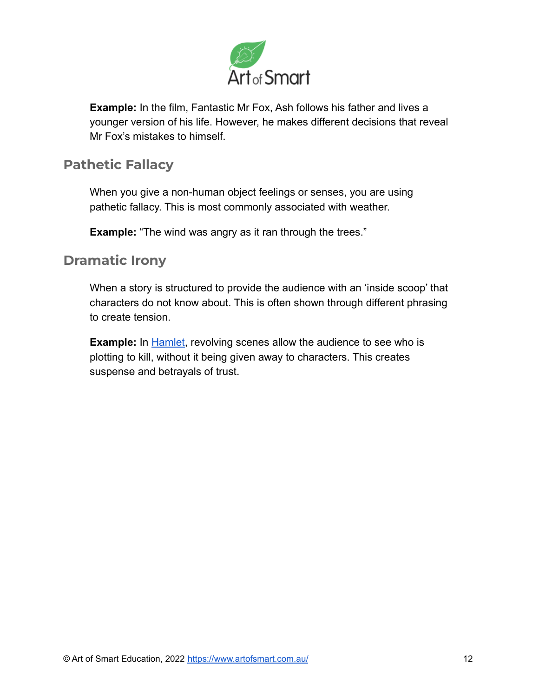

**Example:** In the film, Fantastic Mr Fox, Ash follows his father and lives a younger version of his life. However, he makes different decisions that reveal Mr Fox's mistakes to himself.

## **Pathetic Fallacy**

When you give a non-human object feelings or senses, you are using pathetic fallacy. This is most commonly associated with weather.

**Example:** "The wind was angry as it ran through the trees."

#### **Dramatic Irony**

When a story is structured to provide the audience with an 'inside scoop' that characters do not know about. This is often shown through different phrasing to create tension.

**Example:** In **[Hamlet](https://artofsmart.com.au/english/hamlet-analysis/)**, revolving scenes allow the audience to see who is plotting to kill, without it being given away to characters. This creates suspense and betrayals of trust.